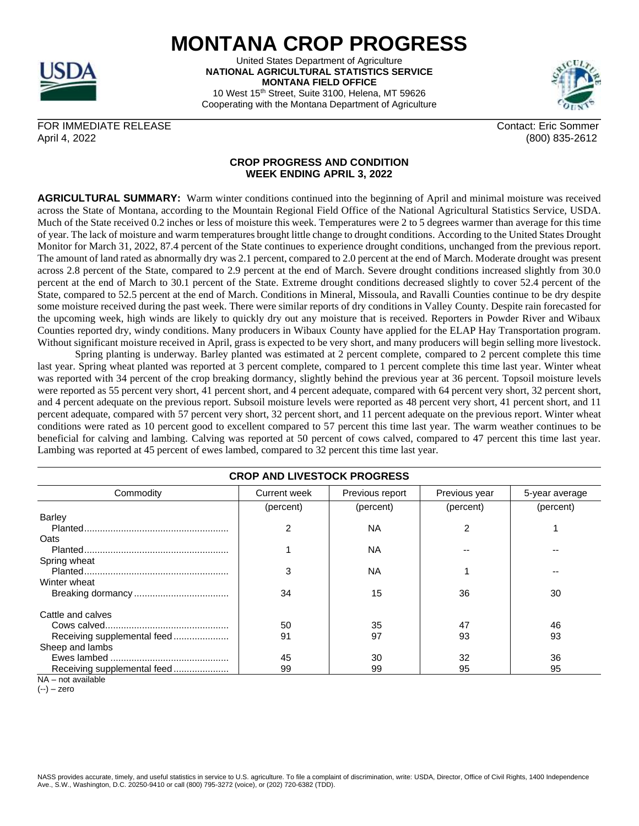

## **MONTANA CROP PROGRESS**

United States Department of Agriculture **NATIONAL AGRICULTURAL STATISTICS SERVICE MONTANA FIELD OFFICE** 10 West 15<sup>th</sup> Street, Suite 3100, Helena, MT 59626 Cooperating with the Montana Department of Agriculture



FOR IMMEDIATE RELEASE CONTACT AND THE SOME CONTACT CONTACT CONTACT CONTACT CONTACT CONTACT CONTACT CONTACT CONTACT CONTACT CONTACT CONTACT CONTACT CONTACT CONTACT CONTACT CONTACT CONTACT CONTACT CONTACT CONTACT CONTACT CON April 4, 2022 (800) 835-2612

## **CROP PROGRESS AND CONDITION WEEK ENDING APRIL 3, 2022**

**AGRICULTURAL SUMMARY:** Warm winter conditions continued into the beginning of April and minimal moisture was received across the State of Montana, according to the Mountain Regional Field Office of the National Agricultural Statistics Service, USDA. Much of the State received 0.2 inches or less of moisture this week. Temperatures were 2 to 5 degrees warmer than average for this time of year. The lack of moisture and warm temperatures brought little change to drought conditions. According to the United States Drought Monitor for March 31, 2022, 87.4 percent of the State continues to experience drought conditions, unchanged from the previous report. The amount of land rated as abnormally dry was 2.1 percent, compared to 2.0 percent at the end of March. Moderate drought was present across 2.8 percent of the State, compared to 2.9 percent at the end of March. Severe drought conditions increased slightly from 30.0 percent at the end of March to 30.1 percent of the State. Extreme drought conditions decreased slightly to cover 52.4 percent of the State, compared to 52.5 percent at the end of March. Conditions in Mineral, Missoula, and Ravalli Counties continue to be dry despite some moisture received during the past week. There were similar reports of dry conditions in Valley County. Despite rain forecasted for the upcoming week, high winds are likely to quickly dry out any moisture that is received. Reporters in Powder River and Wibaux Counties reported dry, windy conditions. Many producers in Wibaux County have applied for the ELAP Hay Transportation program. Without significant moisture received in April, grass is expected to be very short, and many producers will begin selling more livestock.

Spring planting is underway. Barley planted was estimated at 2 percent complete, compared to 2 percent complete this time last year. Spring wheat planted was reported at 3 percent complete, compared to 1 percent complete this time last year. Winter wheat was reported with 34 percent of the crop breaking dormancy, slightly behind the previous year at 36 percent. Topsoil moisture levels were reported as 55 percent very short, 41 percent short, and 4 percent adequate, compared with 64 percent very short, 32 percent short, and 4 percent adequate on the previous report. Subsoil moisture levels were reported as 48 percent very short, 41 percent short, and 11 percent adequate, compared with 57 percent very short, 32 percent short, and 11 percent adequate on the previous report. Winter wheat conditions were rated as 10 percent good to excellent compared to 57 percent this time last year. The warm weather continues to be beneficial for calving and lambing. Calving was reported at 50 percent of cows calved, compared to 47 percent this time last year. Lambing was reported at 45 percent of ewes lambed, compared to 32 percent this time last year.

| <b>CROP AND LIVESTOCK PROGRESS</b> |                     |                 |               |                |  |  |  |
|------------------------------------|---------------------|-----------------|---------------|----------------|--|--|--|
| Commodity                          | <b>Current week</b> | Previous report | Previous year | 5-year average |  |  |  |
|                                    | (percent)           | (percent)       | (percent)     | (percent)      |  |  |  |
| Barley                             |                     |                 |               |                |  |  |  |
|                                    | 2                   | <b>NA</b>       |               |                |  |  |  |
| Oats                               |                     |                 |               |                |  |  |  |
|                                    |                     | NА              |               |                |  |  |  |
| Spring wheat                       |                     |                 |               |                |  |  |  |
|                                    | 3                   | <b>NA</b>       |               |                |  |  |  |
| Winter wheat                       |                     |                 |               |                |  |  |  |
|                                    | 34                  | 15              | 36            | 30             |  |  |  |
|                                    |                     |                 |               |                |  |  |  |
| Cattle and calves                  |                     |                 |               |                |  |  |  |
|                                    | 50                  | 35              | 47            | 46             |  |  |  |
| Receiving supplemental feed        | 91                  | 97              | 93            | 93             |  |  |  |
| Sheep and lambs                    |                     |                 |               |                |  |  |  |
|                                    | 45                  | 30              | 32            | 36             |  |  |  |
| Receiving supplemental feed        | 99                  | 99              | 95            | 95             |  |  |  |

NA – not available

(--) – zero